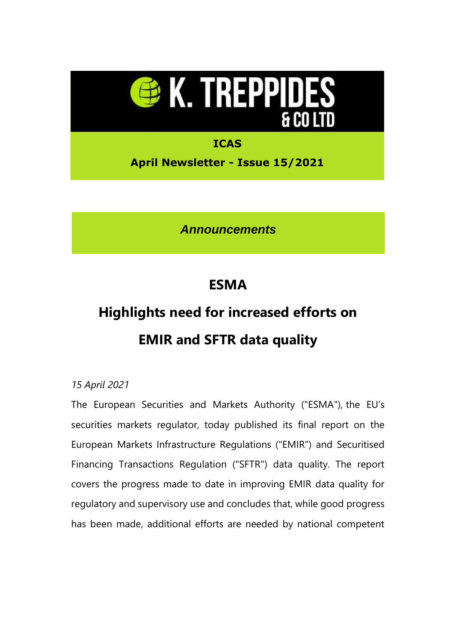

**April Newsletter - Issue 15/2021**

*Announcements*

## **ESMA**

# **Highlights need for increased efforts on EMIR and SFTR data quality**

### *15 April 2021*

The European Securities and Markets Authority ("ESMA"), the EU's securities markets regulator, today published its final report on the European Markets Infrastructure Regulations ("EMIR") and Securitised Financing Transactions Regulation ("SFTR") data quality. The report covers the progress made to date in improving EMIR data quality for regulatory and supervisory use and concludes that, while good progress has been made, additional efforts are needed by national competent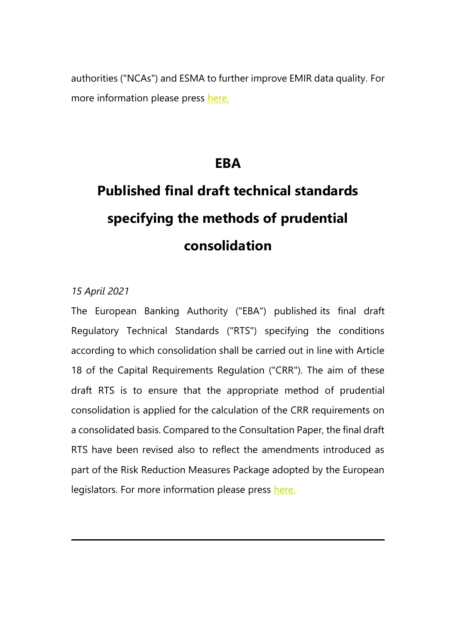authorities ("NCAs") and ESMA to further improve EMIR data quality. For more information please press [here.](https://eur02.safelinks.protection.outlook.com/?url=https%3A%2F%2Ftreppides.us3.list-manage.com%2Ftrack%2Fclick%3Fu%3D8bf962a96057ffc956d2f2030%26id%3Db62549a7a7%26e%3D8257cbedd3&data=04%7C01%7Cetheodorou%40treppides.com%7Caff0ce0470684c17d92708d900c3b976%7C6e5d13a911384013913df32a1be7dced%7C0%7C0%7C637541662956308924%7CUnknown%7CTWFpbGZsb3d8eyJWIjoiMC4wLjAwMDAiLCJQIjoiV2luMzIiLCJBTiI6Ik1haWwiLCJXVCI6Mn0%3D%7C1000&sdata=QoDjoWlstSSoJUySyIp3fZaXgYCfd3yPpWKGKkim28I%3D&reserved=0)

## **EBA**

# **Published final draft technical standards specifying the methods of prudential consolidation**

### *15 April 2021*

The European Banking Authority ("EBA") published its final draft Regulatory Technical Standards ("RTS") specifying the conditions according to which consolidation shall be carried out in line with Article 18 of the Capital Requirements Regulation ("CRR"). The aim of these draft RTS is to ensure that the appropriate method of prudential consolidation is applied for the calculation of the CRR requirements on a consolidated basis. Compared to the Consultation Paper, the final draft RTS have been revised also to reflect the amendments introduced as part of the Risk Reduction Measures Package adopted by the European legislators. For more information please press [here.](https://eur02.safelinks.protection.outlook.com/?url=https%3A%2F%2Ftreppides.us3.list-manage.com%2Ftrack%2Fclick%3Fu%3D8bf962a96057ffc956d2f2030%26id%3De6ed05a15c%26e%3D8257cbedd3&data=04%7C01%7Cetheodorou%40treppides.com%7Caff0ce0470684c17d92708d900c3b976%7C6e5d13a911384013913df32a1be7dced%7C0%7C0%7C637541662956308924%7CUnknown%7CTWFpbGZsb3d8eyJWIjoiMC4wLjAwMDAiLCJQIjoiV2luMzIiLCJBTiI6Ik1haWwiLCJXVCI6Mn0%3D%7C1000&sdata=mezBImqHbOOsi94AZRWc7qr4G%2FPrKJm9P%2B0IWhWMsBk%3D&reserved=0)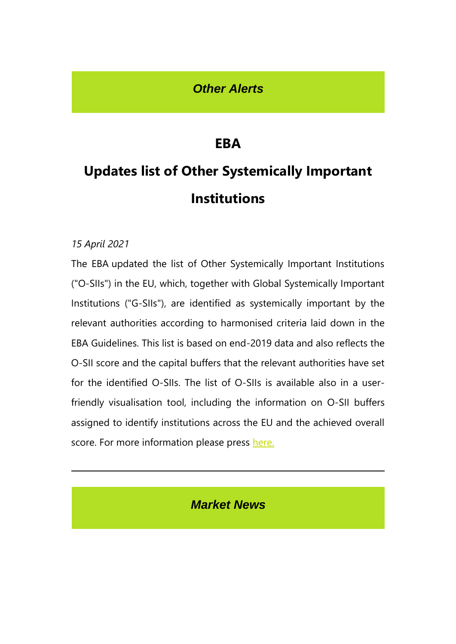### *Other Alerts*

## **EBA**

# **Updates list of Other Systemically Important Institutions**

### *15 April 2021*

The EBA updated the list of Other Systemically Important Institutions ("O-SIIs") in the EU, which, together with Global Systemically Important Institutions ("G-SIIs"), are identified as systemically important by the relevant authorities according to harmonised criteria laid down in the EBA Guidelines. This list is based on end-2019 data and also reflects the O-SII score and the capital buffers that the relevant authorities have set for the identified O-SIIs. The list of O-SIIs is available also in a userfriendly visualisation tool, including the information on O-SII buffers assigned to identify institutions across the EU and the achieved overall score. For more information please press [here.](https://eur02.safelinks.protection.outlook.com/?url=https%3A%2F%2Ftreppides.us3.list-manage.com%2Ftrack%2Fclick%3Fu%3D8bf962a96057ffc956d2f2030%26id%3D844dd8336b%26e%3D8257cbedd3&data=04%7C01%7Cetheodorou%40treppides.com%7Caff0ce0470684c17d92708d900c3b976%7C6e5d13a911384013913df32a1be7dced%7C0%7C0%7C637541662956318923%7CUnknown%7CTWFpbGZsb3d8eyJWIjoiMC4wLjAwMDAiLCJQIjoiV2luMzIiLCJBTiI6Ik1haWwiLCJXVCI6Mn0%3D%7C1000&sdata=SVv30QOH3FE%2FBsgzYVqQegBj2fQYNfaz2%2Bay2PJ2R3A%3D&reserved=0)

*Market News*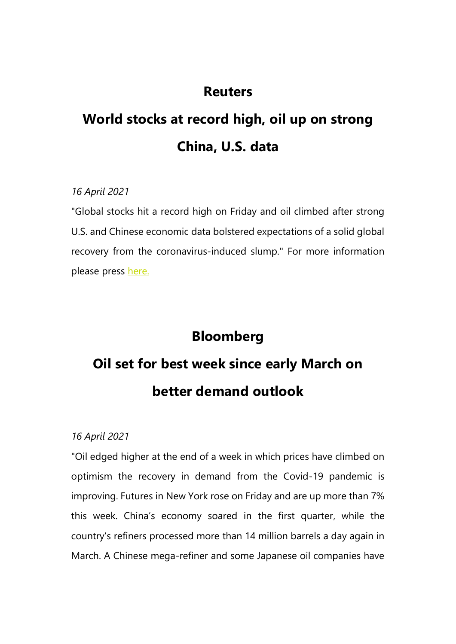## **Reuters**

# **World stocks at record high, oil up on strong China, U.S. data**

### *16 April 2021*

"Global stocks hit a record high on Friday and oil climbed after strong U.S. and Chinese economic data bolstered expectations of a solid global recovery from the coronavirus-induced slump." For more information please press [here.](https://eur02.safelinks.protection.outlook.com/?url=https%3A%2F%2Ftreppides.us3.list-manage.com%2Ftrack%2Fclick%3Fu%3D8bf962a96057ffc956d2f2030%26id%3Dd5923edc78%26e%3D8257cbedd3&data=04%7C01%7Cetheodorou%40treppides.com%7Caff0ce0470684c17d92708d900c3b976%7C6e5d13a911384013913df32a1be7dced%7C0%7C0%7C637541662956318923%7CUnknown%7CTWFpbGZsb3d8eyJWIjoiMC4wLjAwMDAiLCJQIjoiV2luMzIiLCJBTiI6Ik1haWwiLCJXVCI6Mn0%3D%7C1000&sdata=yO21JMCd8alxDhjcxAo4GjJiBQVt4NoGjc0%2Fez4jxgo%3D&reserved=0)

### **Bloomberg**

# **Oil set for best week since early March on better demand outlook**

### *16 April 2021*

"Oil edged higher at the end of a week in which prices have climbed on optimism the recovery in demand from the Covid-19 pandemic is improving. Futures in New York rose on Friday and are up more than 7% this week. China's economy soared in the first quarter, while the country's refiners processed more than 14 million barrels a day again in March. A Chinese mega-refiner and some Japanese oil companies have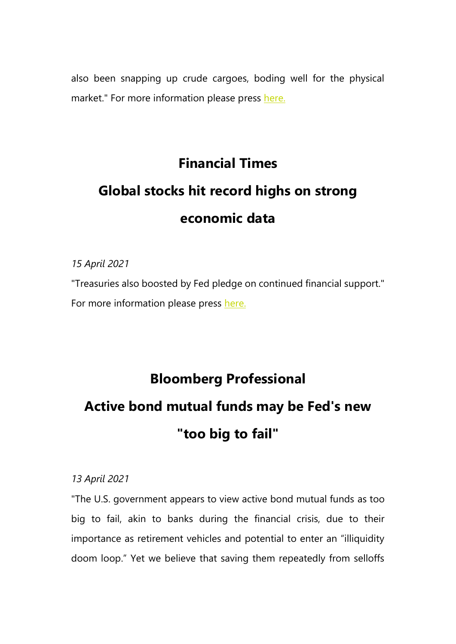also been snapping up crude cargoes, boding well for the physical market." For more information please press [here.](https://eur02.safelinks.protection.outlook.com/?url=https%3A%2F%2Ftreppides.us3.list-manage.com%2Ftrack%2Fclick%3Fu%3D8bf962a96057ffc956d2f2030%26id%3Dedb3b436cc%26e%3D8257cbedd3&data=04%7C01%7Cetheodorou%40treppides.com%7Caff0ce0470684c17d92708d900c3b976%7C6e5d13a911384013913df32a1be7dced%7C0%7C0%7C637541662956328913%7CUnknown%7CTWFpbGZsb3d8eyJWIjoiMC4wLjAwMDAiLCJQIjoiV2luMzIiLCJBTiI6Ik1haWwiLCJXVCI6Mn0%3D%7C1000&sdata=jkJgaT120YAeE9NnKWlhsCS62L%2BSyCPdZPliFjfJoGc%3D&reserved=0)

# **Financial Times Global stocks hit record highs on strong economic data**

*15 April 2021*

"Treasuries also boosted by Fed pledge on continued financial support." For more information please press [here.](https://eur02.safelinks.protection.outlook.com/?url=https%3A%2F%2Ftreppides.us3.list-manage.com%2Ftrack%2Fclick%3Fu%3D8bf962a96057ffc956d2f2030%26id%3De4ba723edc%26e%3D8257cbedd3&data=04%7C01%7Cetheodorou%40treppides.com%7Caff0ce0470684c17d92708d900c3b976%7C6e5d13a911384013913df32a1be7dced%7C0%7C0%7C637541662956328913%7CUnknown%7CTWFpbGZsb3d8eyJWIjoiMC4wLjAwMDAiLCJQIjoiV2luMzIiLCJBTiI6Ik1haWwiLCJXVCI6Mn0%3D%7C1000&sdata=fca2QdOPHUEexTqzZizPX%2FG%2F9p92IKKyRbI5kfLEuls%3D&reserved=0)

## **Bloomberg Professional**

## **Active bond mutual funds may be Fed's new "too big to fail"**

### *13 April 2021*

"The U.S. government appears to view active bond mutual funds as too big to fail, akin to banks during the financial crisis, due to their importance as retirement vehicles and potential to enter an "illiquidity doom loop." Yet we believe that saving them repeatedly from selloffs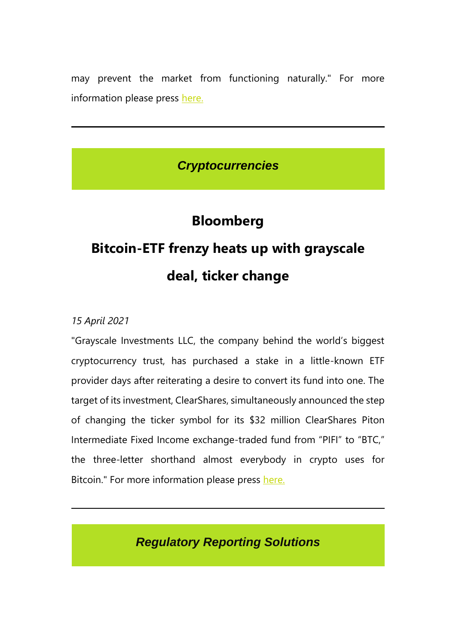may prevent the market from functioning naturally." For more information please press [here.](https://eur02.safelinks.protection.outlook.com/?url=https%3A%2F%2Ftreppides.us3.list-manage.com%2Ftrack%2Fclick%3Fu%3D8bf962a96057ffc956d2f2030%26id%3Dda4d0e3a72%26e%3D8257cbedd3&data=04%7C01%7Cetheodorou%40treppides.com%7Caff0ce0470684c17d92708d900c3b976%7C6e5d13a911384013913df32a1be7dced%7C0%7C0%7C637541662956338912%7CUnknown%7CTWFpbGZsb3d8eyJWIjoiMC4wLjAwMDAiLCJQIjoiV2luMzIiLCJBTiI6Ik1haWwiLCJXVCI6Mn0%3D%7C1000&sdata=Hs3HY5XlIZJ7cNJ7PaVtWN30YUR0%2F46%2BhmYAXDbS9to%3D&reserved=0)

## *Cryptocurrencies*

## **Bloomberg**

# **Bitcoin-ETF frenzy heats up with grayscale deal, ticker change**

*15 April 2021*

"Grayscale Investments LLC, the company behind the world's biggest cryptocurrency trust, has purchased a stake in a little-known ETF provider days after reiterating a desire to convert its fund into one. The target of its investment, ClearShares, simultaneously announced the step of changing the ticker symbol for its \$32 million ClearShares Piton Intermediate Fixed Income exchange-traded fund from "PIFI" to "BTC," the three-letter shorthand almost everybody in crypto uses for Bitcoin." For more information please press [here.](https://eur02.safelinks.protection.outlook.com/?url=https%3A%2F%2Ftreppides.us3.list-manage.com%2Ftrack%2Fclick%3Fu%3D8bf962a96057ffc956d2f2030%26id%3Dcfabb41fd6%26e%3D8257cbedd3&data=04%7C01%7Cetheodorou%40treppides.com%7Caff0ce0470684c17d92708d900c3b976%7C6e5d13a911384013913df32a1be7dced%7C0%7C0%7C637541662956338912%7CUnknown%7CTWFpbGZsb3d8eyJWIjoiMC4wLjAwMDAiLCJQIjoiV2luMzIiLCJBTiI6Ik1haWwiLCJXVCI6Mn0%3D%7C1000&sdata=H4QO%2FpZMRPg6IubelCqm7ae8XbooqlotJ0FE276rYGk%3D&reserved=0)

*Regulatory Reporting Solutions*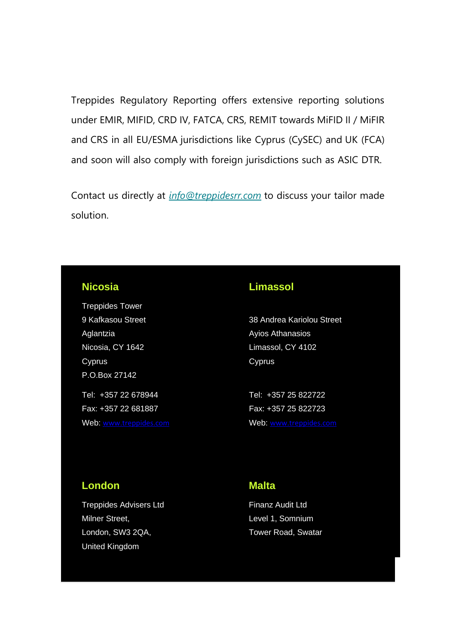Treppides Regulatory Reporting offers extensive reporting solutions under EMIR, MIFID, CRD IV, FATCA, CRS, REMIT towards MiFID II / MiFIR and CRS in all EU/ESMA jurisdictions like Cyprus (CySEC) and UK (FCA) and soon will also comply with foreign jurisdictions such as ASIC DTR.

Contact us directly at *[info@treppidesrr.com](mailto:info@treppidesrr.com?subject=%5BCompany%20name%20here)&body=Please%20contact%20us%20as%20we%20are%20interested%20in%20your%20services.)* to discuss your tailor made solution.

#### **Nicosia**

Treppides Tower 9 Kafkasou Street Aglantzia Nicosia, CY 1642 Cyprus P.O.Box 27142 Tel: +357 22 678944 Fax: +357 22 681887

Web: [www.treppides.com](http://www.treppides.com/)

### **Limassol**

38 Andrea Kariolou Street Ayios Athanasios Limassol, CY 4102 Cyprus

Tel: +357 25 822722 Fax: +357 25 822723 Web: [www.treppides.com](http://www.treppides.com/)

### **London**

Treppides Advisers Ltd Milner Street, London, SW3 2QA, United Kingdom

#### **Malta**

Finanz Audit Ltd Level 1, Somnium Tower Road, Swatar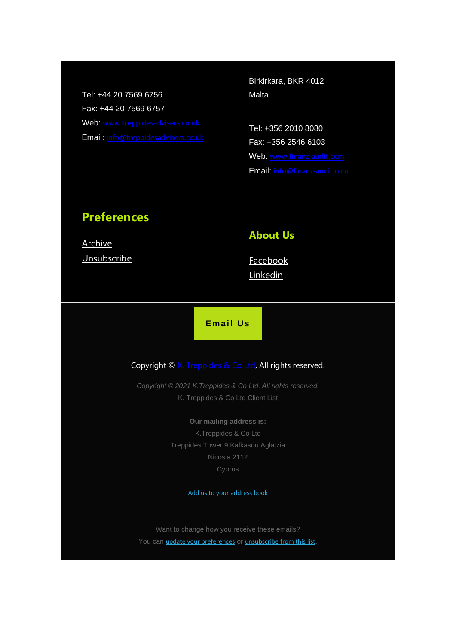Tel: +44 20 7569 6756 Fax: +44 20 7569 6757 Web: [www.treppidesadvisers.co.uk](http://www.treppidesadvisers.co.uk/) Email: [info@treppidesadvisers.co.uk](mailto:info@treppidesadvisers.co.uk) Birkirkara, BKR 4012 Malta

Tel: +356 2010 8080 Fax: +356 2546 6103 Web: [www.finanz-audit.com](http://www.finanz-audit.com/) Email: [info@finanz-audit.com](mailto:info@finanz-audit.com)

### **Preferences**

**[Archive](https://eur02.safelinks.protection.outlook.com/?url=https%3A%2F%2Ftreppides.us3.list-manage.com%2Ftrack%2Fclick%3Fu%3D8bf962a96057ffc956d2f2030%26id%3Dff02b13773%26e%3D8257cbedd3&data=04%7C01%7Cetheodorou%40treppides.com%7Caff0ce0470684c17d92708d900c3b976%7C6e5d13a911384013913df32a1be7dced%7C0%7C0%7C637541662956348902%7CUnknown%7CTWFpbGZsb3d8eyJWIjoiMC4wLjAwMDAiLCJQIjoiV2luMzIiLCJBTiI6Ik1haWwiLCJXVCI6Mn0%3D%7C1000&sdata=7WnnzRtS7mekxLDycdutQL4kg9DBqfvWc8FmYY2bMYo%3D&reserved=0) [Unsubscribe](https://eur02.safelinks.protection.outlook.com/?url=https%3A%2F%2Ftreppides.us3.list-manage.com%2Ftrack%2Fclick%3Fu%3D8bf962a96057ffc956d2f2030%26id%3D6a29bf4987%26e%3D8257cbedd3&data=04%7C01%7Cetheodorou%40treppides.com%7Caff0ce0470684c17d92708d900c3b976%7C6e5d13a911384013913df32a1be7dced%7C0%7C0%7C637541662956348902%7CUnknown%7CTWFpbGZsb3d8eyJWIjoiMC4wLjAwMDAiLCJQIjoiV2luMzIiLCJBTiI6Ik1haWwiLCJXVCI6Mn0%3D%7C1000&sdata=jJHDzPnSJE%2ByPilam%2F01pg46VngFmWGqHrsZ5vzqtWE%3D&reserved=0)** 

### **About Us**

[Facebook](https://eur02.safelinks.protection.outlook.com/?url=https%3A%2F%2Ftreppides.us3.list-manage.com%2Ftrack%2Fclick%3Fu%3D8bf962a96057ffc956d2f2030%26id%3Deb5b2a378e%26e%3D8257cbedd3&data=04%7C01%7Cetheodorou%40treppides.com%7Caff0ce0470684c17d92708d900c3b976%7C6e5d13a911384013913df32a1be7dced%7C0%7C0%7C637541662956358904%7CUnknown%7CTWFpbGZsb3d8eyJWIjoiMC4wLjAwMDAiLCJQIjoiV2luMzIiLCJBTiI6Ik1haWwiLCJXVCI6Mn0%3D%7C1000&sdata=jay62BKKZvHmSNPU0EpCJD%2BVTEWNxiwpxYsTWEncPuY%3D&reserved=0) **[Linkedin](https://eur02.safelinks.protection.outlook.com/?url=https%3A%2F%2Ftreppides.us3.list-manage.com%2Ftrack%2Fclick%3Fu%3D8bf962a96057ffc956d2f2030%26id%3Da4869c3a68%26e%3D8257cbedd3&data=04%7C01%7Cetheodorou%40treppides.com%7Caff0ce0470684c17d92708d900c3b976%7C6e5d13a911384013913df32a1be7dced%7C0%7C0%7C637541662956358904%7CUnknown%7CTWFpbGZsb3d8eyJWIjoiMC4wLjAwMDAiLCJQIjoiV2luMzIiLCJBTiI6Ik1haWwiLCJXVCI6Mn0%3D%7C1000&sdata=Nk5CgFere3brCW2K%2BtF07GTZ%2Bg1u%2BRzefXvUimYTWdU%3D&reserved=0)** 

**[Email Us](mailto:consulting@treppides.com?subject=Contact%20Treppides)**

#### Copyright © [K. Treppides &](https://eur02.safelinks.protection.outlook.com/?url=https%3A%2F%2Ftreppides.us3.list-manage.com%2Ftrack%2Fclick%3Fu%3D8bf962a96057ffc956d2f2030%26id%3D49a8a7c42a%26e%3D8257cbedd3&data=04%7C01%7Cetheodorou%40treppides.com%7Caff0ce0470684c17d92708d900c3b976%7C6e5d13a911384013913df32a1be7dced%7C0%7C0%7C637541662956368891%7CUnknown%7CTWFpbGZsb3d8eyJWIjoiMC4wLjAwMDAiLCJQIjoiV2luMzIiLCJBTiI6Ik1haWwiLCJXVCI6Mn0%3D%7C1000&sdata=0PapKbErdur5pU8Bm30K6zlXDgaKMfwHQPmvfc9pzpo%3D&reserved=0) Co Ltd, All rights reserved.

*Copyright © 2021 K.Treppides & Co Ltd, All rights reserved.* K. Treppides & Co Ltd Client List

> **Our mailing address is:** K.Treppides & Co Ltd Treppides Tower 9 Kafkasou Aglatzia Nicosia 2112 Cyprus

> > [Add us to your address book](https://eur02.safelinks.protection.outlook.com/?url=https%3A%2F%2Ftreppides.us3.list-manage.com%2Fvcard%3Fu%3D8bf962a96057ffc956d2f2030%26id%3D8b99557182&data=04%7C01%7Cetheodorou%40treppides.com%7Caff0ce0470684c17d92708d900c3b976%7C6e5d13a911384013913df32a1be7dced%7C0%7C0%7C637541662956368891%7CUnknown%7CTWFpbGZsb3d8eyJWIjoiMC4wLjAwMDAiLCJQIjoiV2luMzIiLCJBTiI6Ik1haWwiLCJXVCI6Mn0%3D%7C1000&sdata=fBX3LXugfsrEMc3TMtt1iXWMnehwkRNFKtG1QKj5OmM%3D&reserved=0)

Want to change how you receive these emails? You can *[update your preferences](https://eur02.safelinks.protection.outlook.com/?url=https%3A%2F%2Ftreppides.us3.list-manage.com%2Fprofile%3Fu%3D8bf962a96057ffc956d2f2030%26id%3D8b99557182%26e%3D8257cbedd3%26c%3D96153356de&data=04%7C01%7Cetheodorou%40treppides.com%7Caff0ce0470684c17d92708d900c3b976%7C6e5d13a911384013913df32a1be7dced%7C0%7C0%7C637541662956378888%7CUnknown%7CTWFpbGZsb3d8eyJWIjoiMC4wLjAwMDAiLCJQIjoiV2luMzIiLCJBTiI6Ik1haWwiLCJXVCI6Mn0%3D%7C1000&sdata=u12GPwsFyof%2FOX9S6vkAKk3RihFr9V%2FTSzHrMo4ruBw%3D&reserved=0)* or *[unsubscribe from this list](https://eur02.safelinks.protection.outlook.com/?url=https%3A%2F%2Ftreppides.us3.list-manage.com%2Funsubscribe%3Fu%3D8bf962a96057ffc956d2f2030%26id%3D8b99557182%26e%3D8257cbedd3%26c%3D96153356de&data=04%7C01%7Cetheodorou%40treppides.com%7Caff0ce0470684c17d92708d900c3b976%7C6e5d13a911384013913df32a1be7dced%7C0%7C0%7C637541662956378888%7CUnknown%7CTWFpbGZsb3d8eyJWIjoiMC4wLjAwMDAiLCJQIjoiV2luMzIiLCJBTiI6Ik1haWwiLCJXVCI6Mn0%3D%7C1000&sdata=F13cV3k4RnryOG09zsvh5%2FuvlxbcYq2YLi65D9CNG18%3D&reserved=0)*.